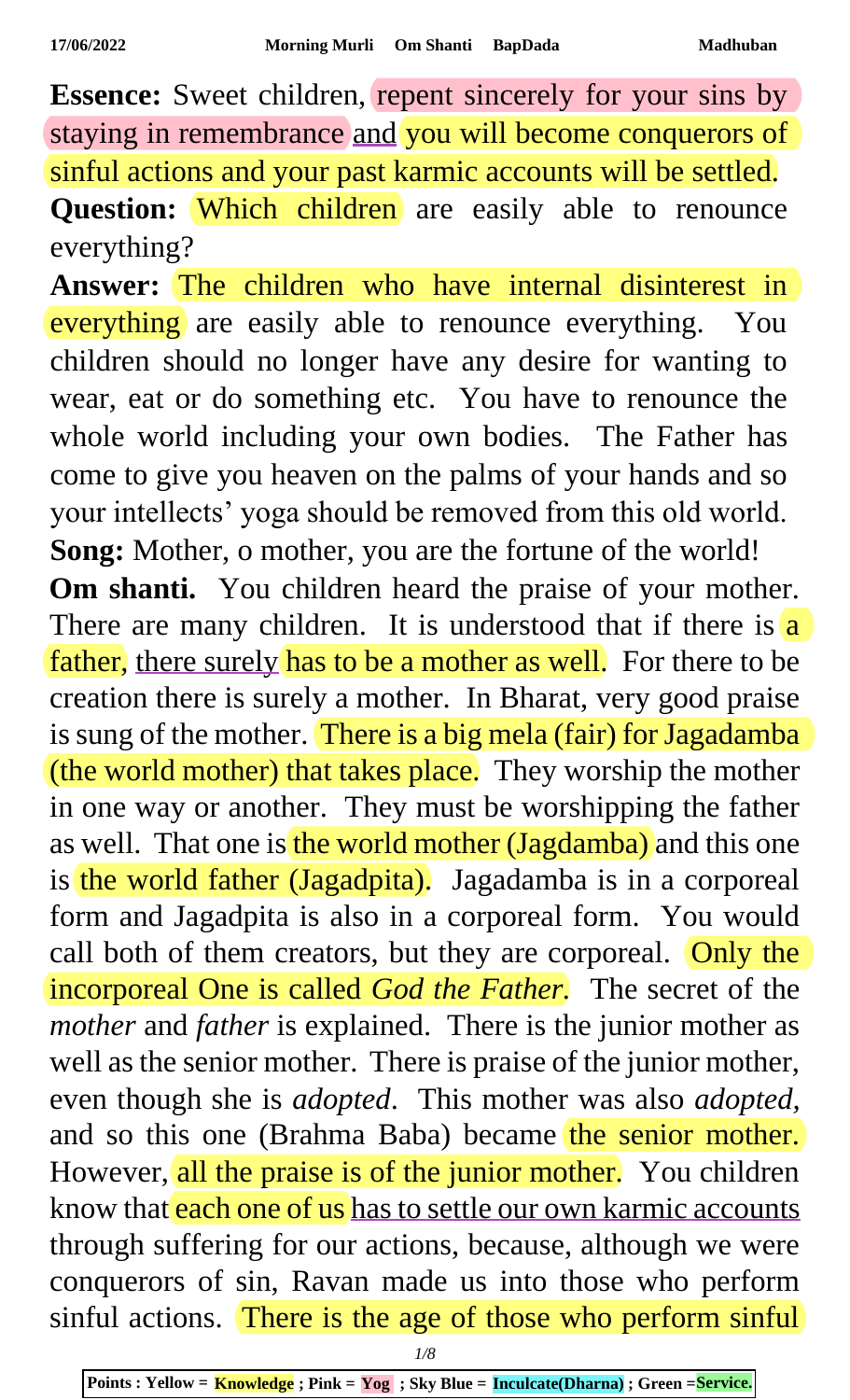**Essence:** Sweet children, repent sincerely for your sins by staying in remembrance and you will become conquerors of sinful actions and your past karmic accounts will be settled. Question: Which children are easily able to renounce everything?

**Answer:** The children who have internal disinterest in everything are easily able to renounce everything. You children should no longer have any desire for wanting to wear, eat or do something etc. You have to renounce the whole world including your own bodies. The Father has come to give you heaven on the palms of your hands and so your intellects' yoga should be removed from this old world. **Song:** Mother, o mother, you are the fortune of the world! **Om shanti.** You children heard the praise of your mother. There are many children. It is understood that if there is  $\frac{a}{a}$ father, there surely has to be a mother as well. For there to be creation there is surely a mother. In Bharat, very good praise is sung of the mother. There is a big mela (fair) for Jagadamba (the world mother) that takes place. They worship the mother in one way or another. They must be worshipping the father as well. That one is the world mother (Jagdamba) and this one is the world father (Jagadpita). Jagadamba is in a corporeal form and Jagadpita is also in a corporeal form. You would call both of them creators, but they are corporeal. Only the incorporeal One is called *God the Father.* The secret of the *mother* and *father* is explained. There is the junior mother as well as the senior mother. There is praise of the junior mother, even though she is *adopted*. This mother was also *adopted,*  and so this one (Brahma Baba) became the senior mother. However, all the praise is of the junior mother. You children know that each one of us has to settle our own karmic accounts through suffering for our actions, because, although we were conquerors of sin, Ravan made us into those who perform sinful actions. There is the age of those who perform sinful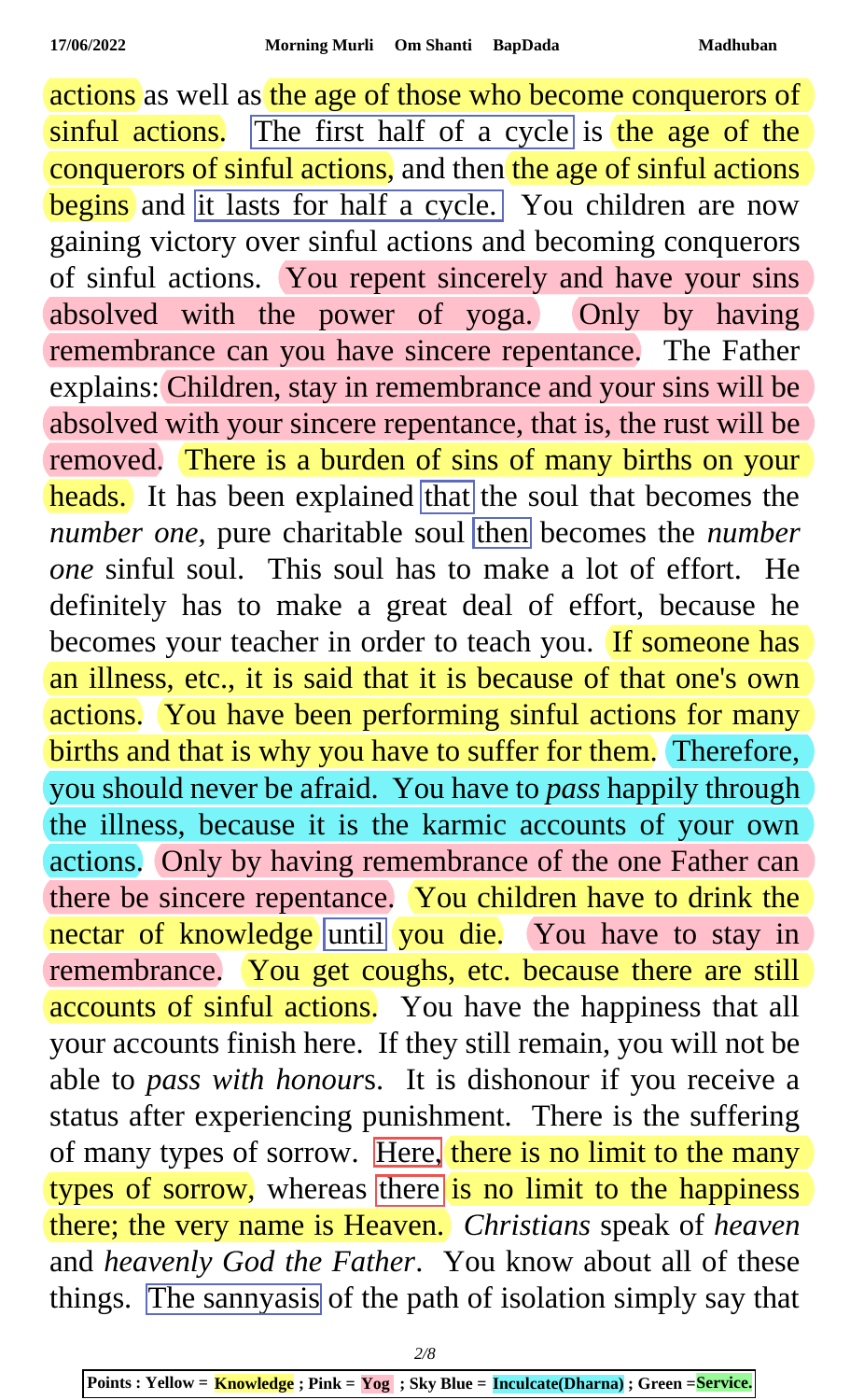actions as well as the age of those who become conquerors of sinful actions. The first half of a cycle is the age of the conquerors of sinful actions, and then the age of sinful actions begins and it lasts for half a cycle. You children are now gaining victory over sinful actions and becoming conquerors of sinful actions. You repent sincerely and have your sins absolved with the power of yoga. Only by having remembrance can you have sincere repentance. The Father explains: Children, stay in remembrance and your sins will be absolved with your sincere repentance, that is, the rust will be removed. There is a burden of sins of many births on your heads. It has been explained that the soul that becomes the *number one*, pure charitable soul then becomes the *number one* sinful soul. This soul has to make a lot of effort. He definitely has to make a great deal of effort, because he becomes your teacher in order to teach you. If someone has an illness, etc., it is said that it is because of that one's own actions. You have been performing sinful actions for many births and that is why you have to suffer for them. Therefore, you should never be afraid. You have to *pass* happily through the illness, because it is the karmic accounts of your own actions. Only by having remembrance of the one Father can there be sincere repentance. You children have to drink the nectar of knowledge until you die. You have to stay in remembrance. You get coughs, etc. because there are still accounts of sinful actions. You have the happiness that all your accounts finish here. If they still remain, you will not be able to *pass with honour*s. It is dishonour if you receive a status after experiencing punishment. There is the suffering of many types of sorrow. Here, there is no limit to the many types of sorrow, whereas there is no limit to the happiness there; the very name is Heaven. *Christians* speak of *heaven* and *heavenly God the Father*. You know about all of these things. The sannyasis of the path of isolation simply say that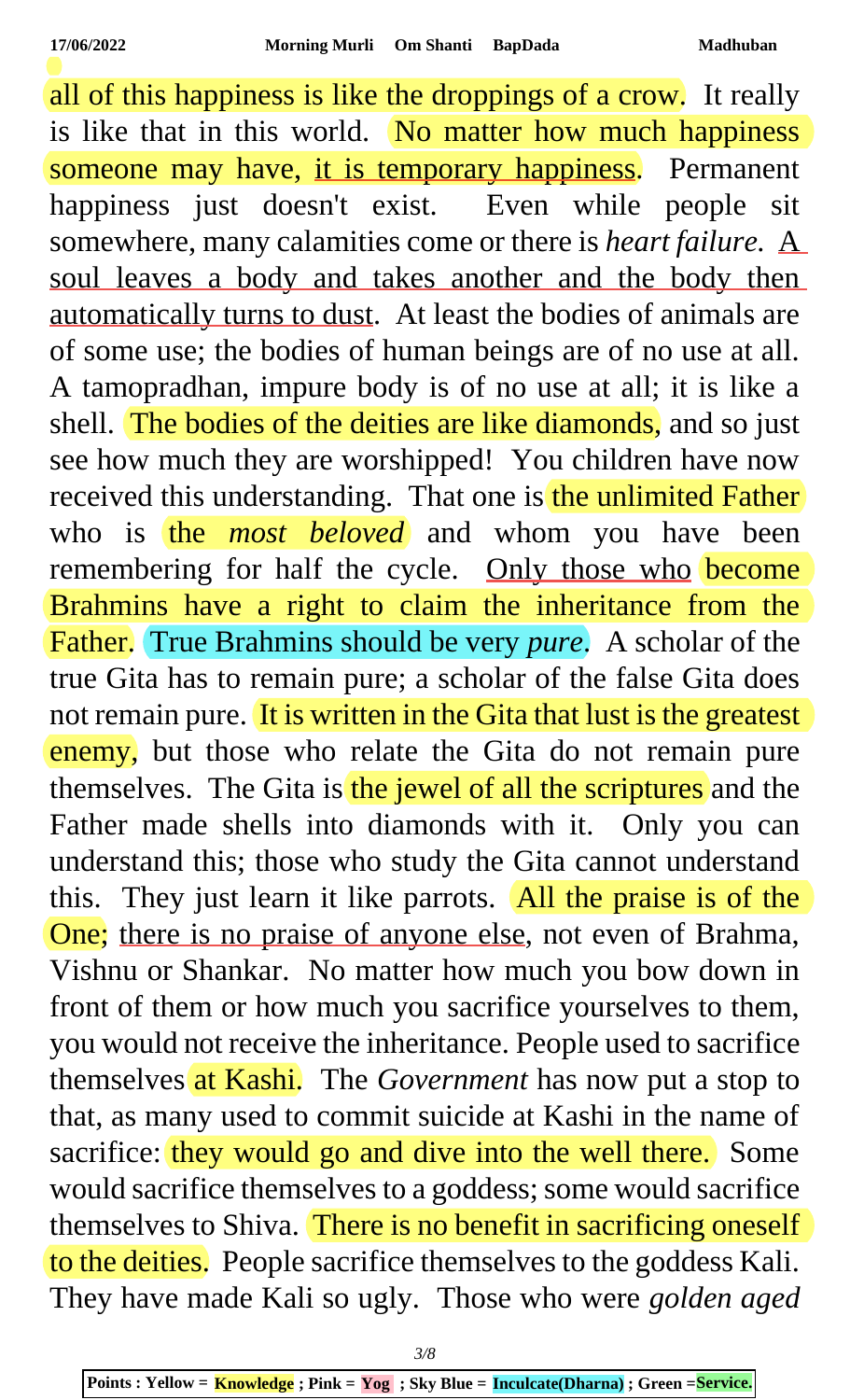all of this happiness is like the droppings of a crow. It really is like that in this world. No matter how much happiness someone may have, it is temporary happiness. Permanent happiness just doesn't exist. Even while people sit somewhere, many calamities come or there is *heart failure*. A soul leaves a body and takes another and the body then automatically turns to dust. At least the bodies of animals are of some use; the bodies of human beings are of no use at all. A tamopradhan, impure body is of no use at all; it is like a shell. The bodies of the deities are like diamonds, and so just see how much they are worshipped! You children have now received this understanding. That one is the unlimited Father who is the *most beloved* and whom you have been remembering for half the cycle. Only those who become Brahmins have a right to claim the inheritance from the Father. True Brahmins should be very *pure*. A scholar of the true Gita has to remain pure; a scholar of the false Gita does not remain pure. It is written in the Gita that lust is the greatest enemy, but those who relate the Gita do not remain pure themselves. The Gita is the jewel of all the scriptures and the Father made shells into diamonds with it. Only you can understand this; those who study the Gita cannot understand this. They just learn it like parrots. All the praise is of the One; there is no praise of anyone else, not even of Brahma, Vishnu or Shankar. No matter how much you bow down in front of them or how much you sacrifice yourselves to them, you would not receive the inheritance. People used to sacrifice themselves at Kashi. The *Government* has now put a stop to that, as many used to commit suicide at Kashi in the name of sacrifice: they would go and dive into the well there. Some would sacrifice themselves to a goddess; some would sacrifice themselves to Shiva. There is no benefit in sacrificing oneself to the deities. People sacrifice themselves to the goddess Kali. They have made Kali so ugly. Those who were *golden aged*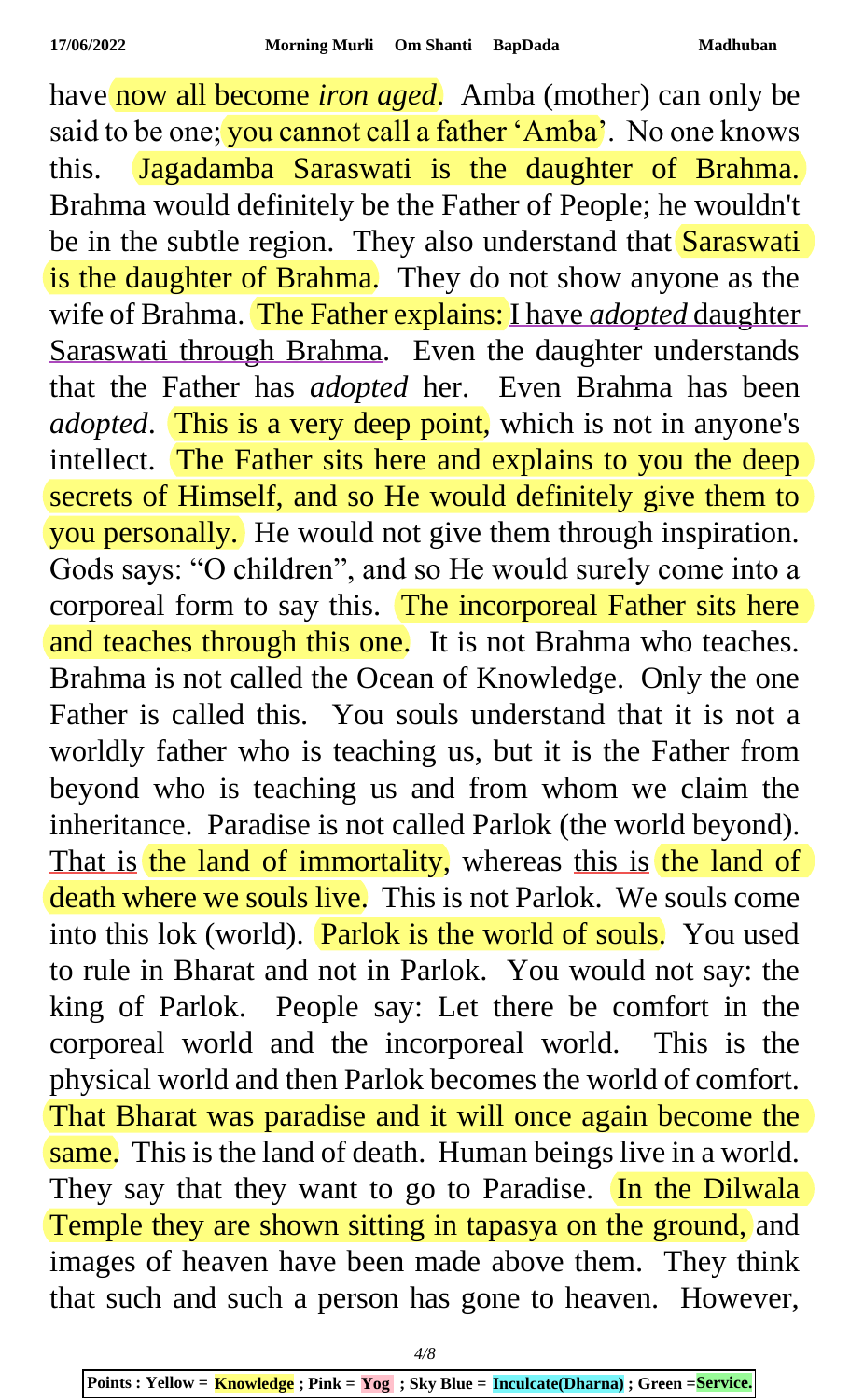have now all become *iron aged*. Amba (mother) can only be said to be one; you cannot call a father 'Amba'. No one knows this. Jagadamba Saraswati is the daughter of Brahma. Brahma would definitely be the Father of People; he wouldn't be in the subtle region. They also understand that **Saraswati** is the daughter of Brahma. They do not show anyone as the wife of Brahma. The Father explains: I have *adopted* daughter Saraswati through Brahma. Even the daughter understands that the Father has *adopted* her. Even Brahma has been *adopted*. This is a very deep point, which is not in anyone's intellect. The Father sits here and explains to you the deep secrets of Himself, and so He would definitely give them to you personally. He would not give them through inspiration. Gods says: "O children", and so He would surely come into a corporeal form to say this. The incorporeal Father sits here and teaches through this one. It is not Brahma who teaches. Brahma is not called the Ocean of Knowledge. Only the one Father is called this. You souls understand that it is not a worldly father who is teaching us, but it is the Father from beyond who is teaching us and from whom we claim the inheritance. Paradise is not called Parlok (the world beyond). That is the land of immortality, whereas this is the land of death where we souls live. This is not Parlok. We souls come into this lok (world). Parlok is the world of souls. You used to rule in Bharat and not in Parlok. You would not say: the king of Parlok. People say: Let there be comfort in the corporeal world and the incorporeal world. This is the physical world and then Parlok becomes the world of comfort. That Bharat was paradise and it will once again become the same. This is the land of death. Human beings live in a world. They say that they want to go to Paradise. In the Dilwala Temple they are shown sitting in tapasya on the ground, and images of heaven have been made above them. They think that such and such a person has gone to heaven. However,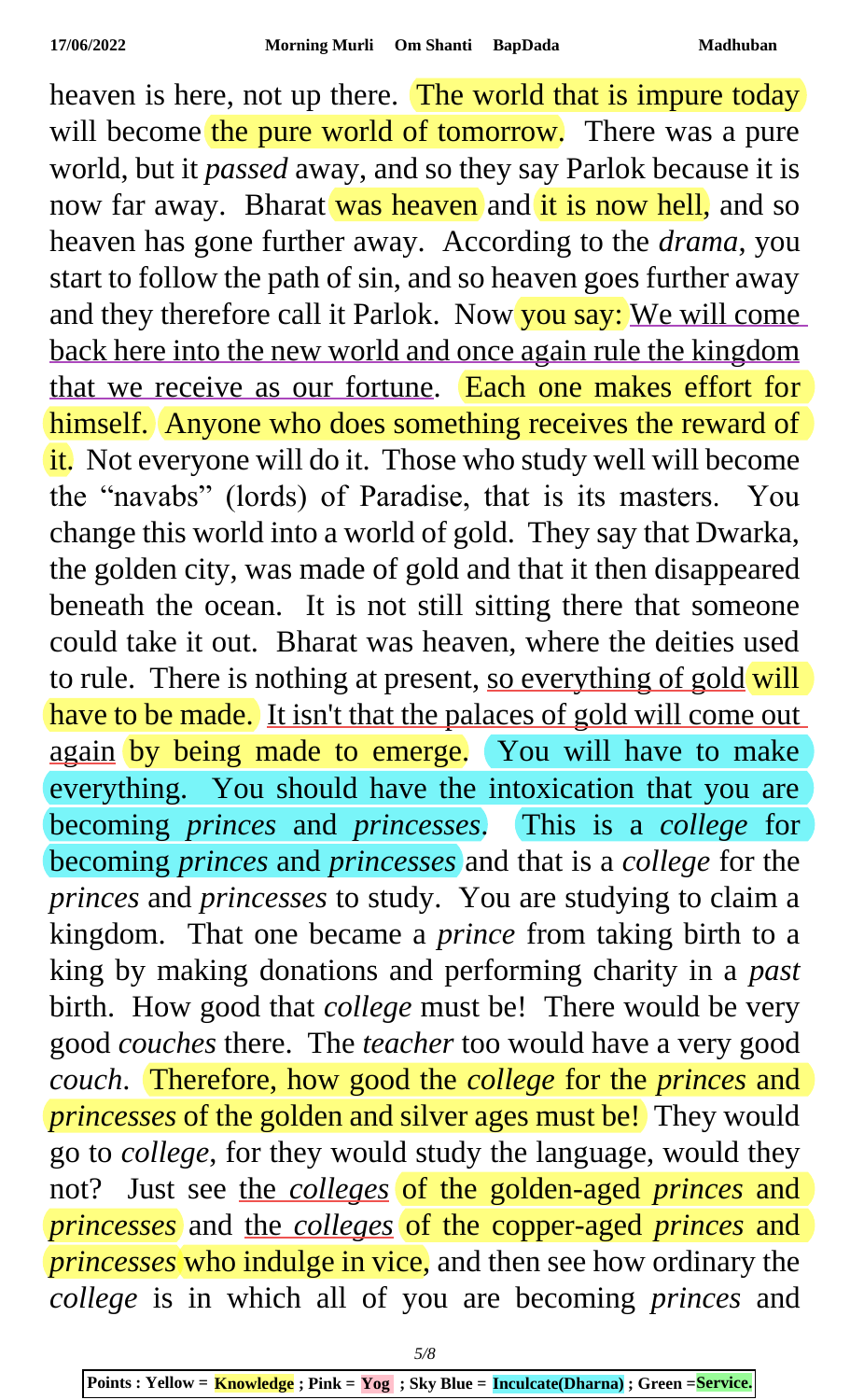heaven is here, not up there. The world that is impure today will become the pure world of tomorrow. There was a pure world, but it *passed* away, and so they say Parlok because it is now far away. Bharat was heaven and it is now hell, and so heaven has gone further away. According to the *drama*, you start to follow the path of sin, and so heaven goes further away and they therefore call it Parlok. Now you say: We will come back here into the new world and once again rule the kingdom that we receive as our fortune. **Each one makes effort for** himself. Anyone who does something receives the reward of it. Not everyone will do it. Those who study well will become the "navabs" (lords) of Paradise, that is its masters. You change this world into a world of gold. They say that Dwarka, the golden city, was made of gold and that it then disappeared beneath the ocean. It is not still sitting there that someone could take it out. Bharat was heaven, where the deities used to rule. There is nothing at present, so everything of gold will have to be made. It isn't that the palaces of gold will come out again by being made to emerge. You will have to make everything. You should have the intoxication that you are becoming *princes* and *princesses*. This is a *college* for becoming *princes* and *princesses* and that is a *college* for the *princes* and *princesses* to study. You are studying to claim a kingdom. That one became a *prince* from taking birth to a king by making donations and performing charity in a *past* birth. How good that *college* must be! There would be very good *couches* there. The *teacher* too would have a very good *couch*. Therefore, how good the *college* for the *princes* and *princesses* of the golden and silver ages must be! They would go to *college*, for they would study the language, would they not? Just see the *colleges* of the golden-aged *princes* and *princesses* and the *colleges* of the copper-aged *princes* and *princesses* who indulge in vice, and then see how ordinary the *college* is in which all of you are becoming *princes* and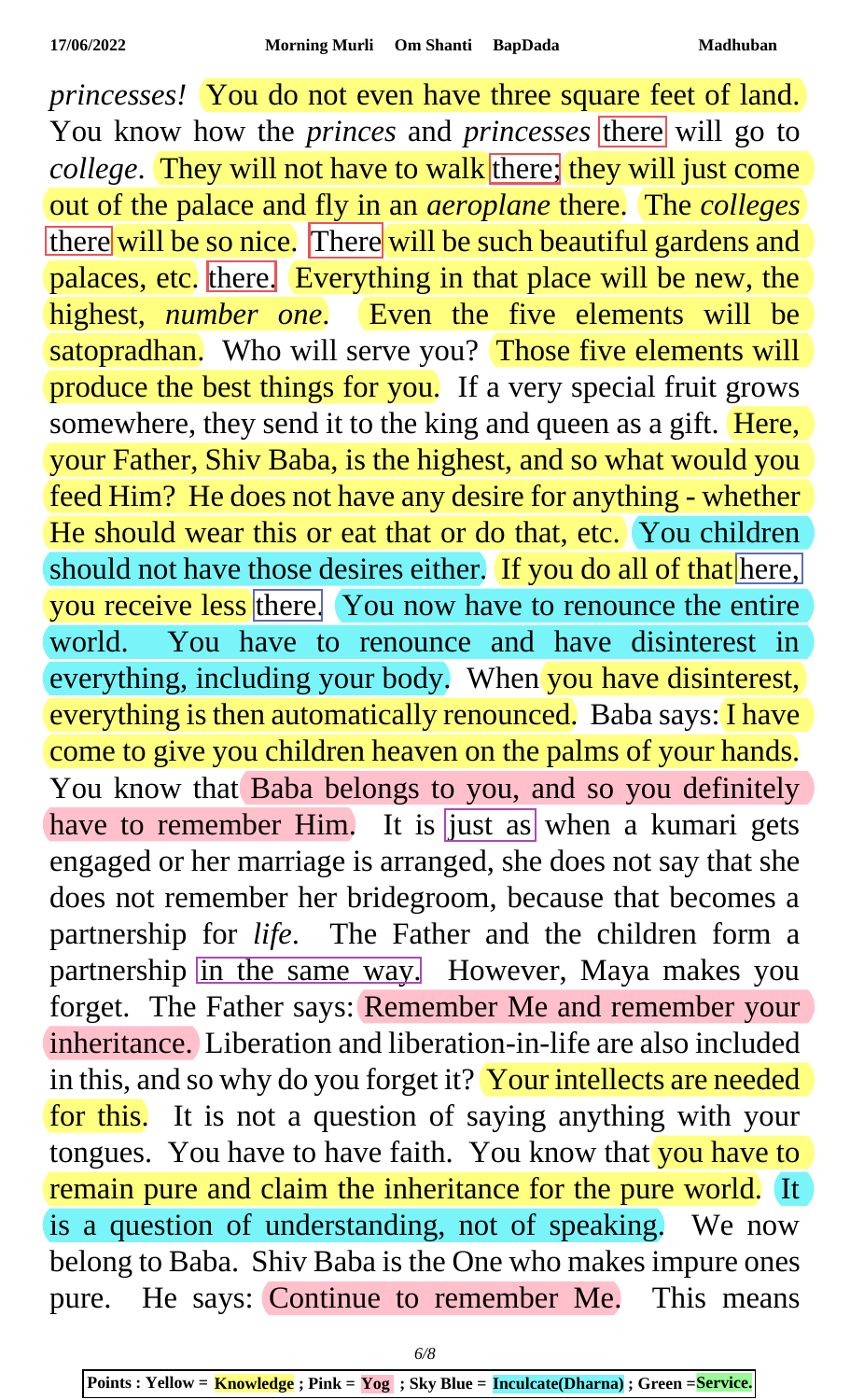*princesses!* You do not even have three square feet of land. You know how the *princes* and *princesses* there will go to *college*. They will not have to walk there; they will just come out of the palace and fly in an *aeroplane* there. The *colleges* there will be so nice. There will be such beautiful gardens and palaces, etc. there. Everything in that place will be new, the highest, *number one*. Even the five elements will be satopradhan. Who will serve you? Those five elements will produce the best things for you. If a very special fruit grows somewhere, they send it to the king and queen as a gift. Here, your Father, Shiv Baba, is the highest, and so what would you feed Him? He does not have any desire for anything - whether He should wear this or eat that or do that, etc. You children should not have those desires either. If you do all of that here, you receive less there. You now have to renounce the entire world. You have to renounce and have disinterest in everything, including your body. When you have disinterest, everything is then automatically renounced. Baba says: I have come to give you children heaven on the palms of your hands. You know that Baba belongs to you, and so you definitely have to remember Him. It is just as when a kumari gets engaged or her marriage is arranged, she does not say that she does not remember her bridegroom, because that becomes a partnership for *life*. The Father and the children form a partnership in the same way. However, Maya makes you forget. The Father says: Remember Me and remember your inheritance. Liberation and liberation-in-life are also included in this, and so why do you forget it? Your intellects are needed for this. It is not a question of saying anything with your tongues. You have to have faith. You know that you have to remain pure and claim the inheritance for the pure world. It is a question of understanding, not of speaking. We now belong to Baba. Shiv Baba is the One who makes impure ones pure. He says: Continue to remember Me. This means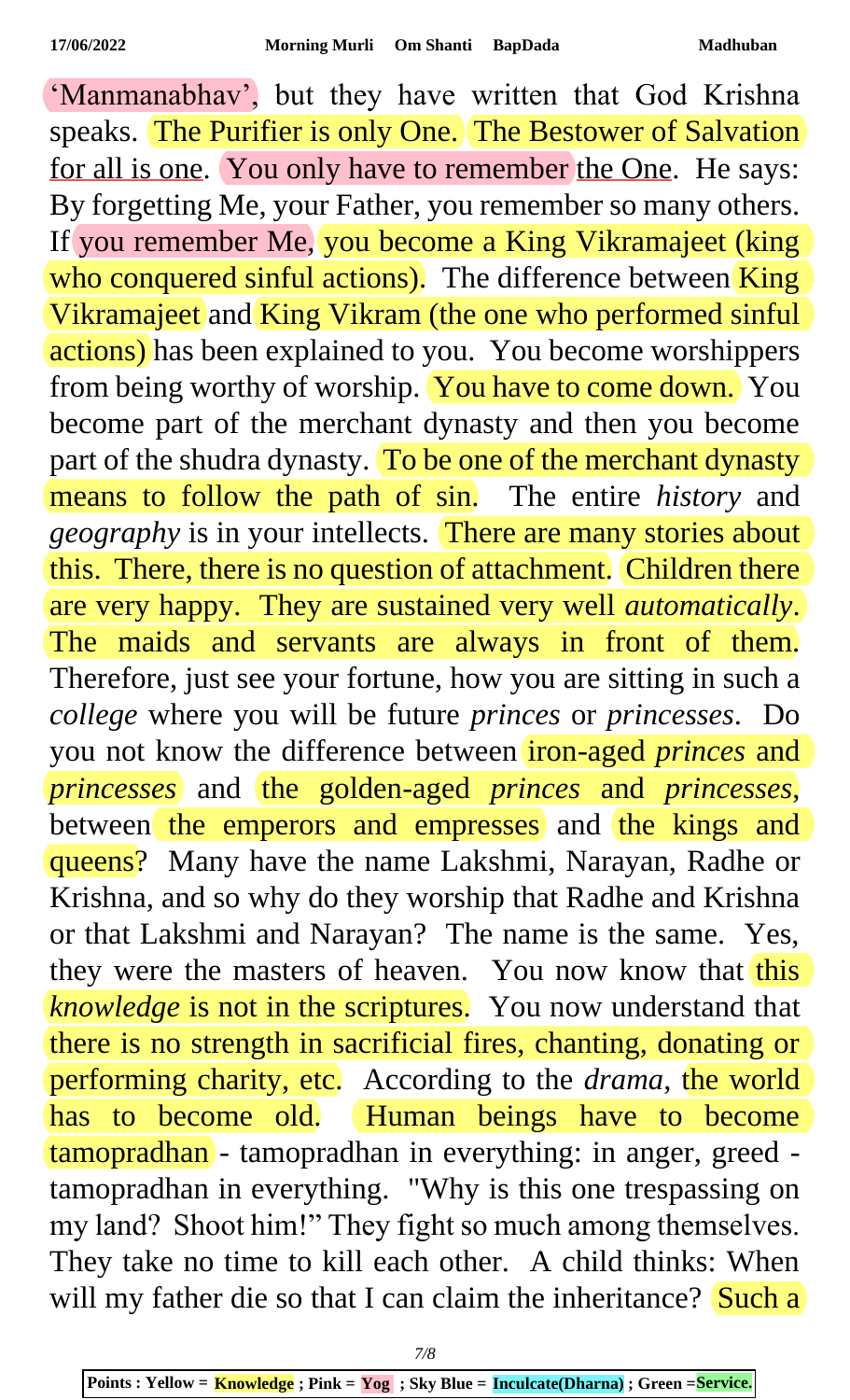'Manmanabhav', but they have written that God Krishna speaks. The Purifier is only One. The Bestower of Salvation for all is one. You only have to remember the One. He says: By forgetting Me, your Father, you remember so many others. If you remember Me, you become a King Vikramajeet (king who conquered sinful actions). The difference between King Vikramajeet and King Vikram (the one who performed sinful actions) has been explained to you. You become worshippers from being worthy of worship. You have to come down. You become part of the merchant dynasty and then you become part of the shudra dynasty. To be one of the merchant dynasty means to follow the path of sin. The entire *history* and *geography* is in your intellects. There are many stories about this. There, there is no question of attachment. Children there are very happy. They are sustained very well *automatically*. The maids and servants are always in front of them. Therefore, just see your fortune, how you are sitting in such a *college* where you will be future *princes* or *princesses*. Do you not know the difference between iron-aged *princes* and *princesses* and the golden-aged *princes* and *princesses*, between the emperors and empresses and the kings and queens? Many have the name Lakshmi, Narayan, Radhe or Krishna, and so why do they worship that Radhe and Krishna or that Lakshmi and Narayan? The name is the same. Yes, they were the masters of heaven. You now know that this *knowledge* is not in the scriptures. You now understand that there is no strength in sacrificial fires, chanting, donating or performing charity, etc. According to the *drama*, the world has to become old. Human beings have to become tamopradhan - tamopradhan in everything: in anger, greed tamopradhan in everything. "Why is this one trespassing on my land? Shoot him!" They fight so much among themselves. They take no time to kill each other. A child thinks: When will my father die so that I can claim the inheritance? Such a